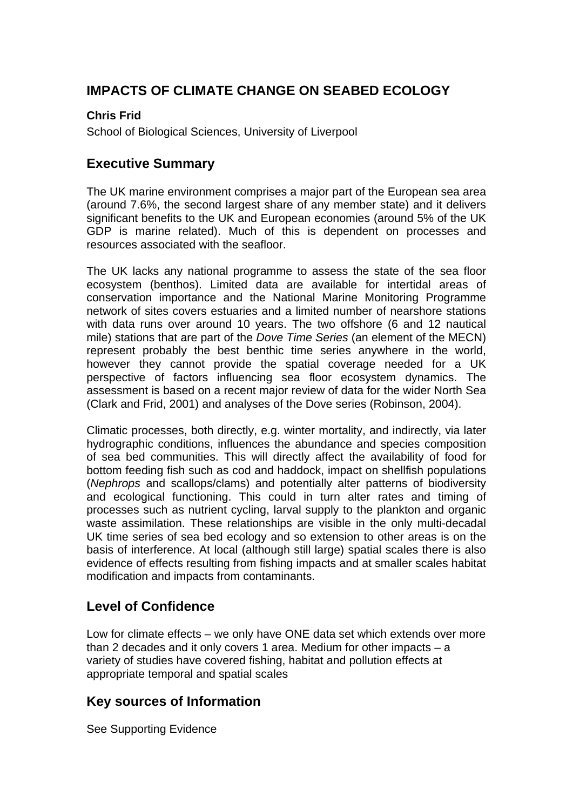## **IMPACTS OF CLIMATE CHANGE ON SEABED ECOLOGY**

#### **Chris Frid**

School of Biological Sciences, University of Liverpool

#### **Executive Summary**

The UK marine environment comprises a major part of the European sea area (around 7.6%, the second largest share of any member state) and it delivers significant benefits to the UK and European economies (around 5% of the UK GDP is marine related). Much of this is dependent on processes and resources associated with the seafloor.

The UK lacks any national programme to assess the state of the sea floor ecosystem (benthos). Limited data are available for intertidal areas of conservation importance and the National Marine Monitoring Programme network of sites covers estuaries and a limited number of nearshore stations with data runs over around 10 years. The two offshore (6 and 12 nautical mile) stations that are part of the *Dove Time Series* (an element of the MECN) represent probably the best benthic time series anywhere in the world, however they cannot provide the spatial coverage needed for a UK perspective of factors influencing sea floor ecosystem dynamics. The assessment is based on a recent major review of data for the wider North Sea (Clark and Frid, 2001) and analyses of the Dove series (Robinson, 2004).

Climatic processes, both directly, e.g. winter mortality, and indirectly, via later hydrographic conditions, influences the abundance and species composition of sea bed communities. This will directly affect the availability of food for bottom feeding fish such as cod and haddock, impact on shellfish populations (*Nephrops* and scallops/clams) and potentially alter patterns of biodiversity and ecological functioning. This could in turn alter rates and timing of processes such as nutrient cycling, larval supply to the plankton and organic waste assimilation. These relationships are visible in the only multi-decadal UK time series of sea bed ecology and so extension to other areas is on the basis of interference. At local (although still large) spatial scales there is also evidence of effects resulting from fishing impacts and at smaller scales habitat modification and impacts from contaminants.

## **Level of Confidence**

Low for climate effects – we only have ONE data set which extends over more than 2 decades and it only covers 1 area. Medium for other impacts – a variety of studies have covered fishing, habitat and pollution effects at appropriate temporal and spatial scales

## **Key sources of Information**

See Supporting Evidence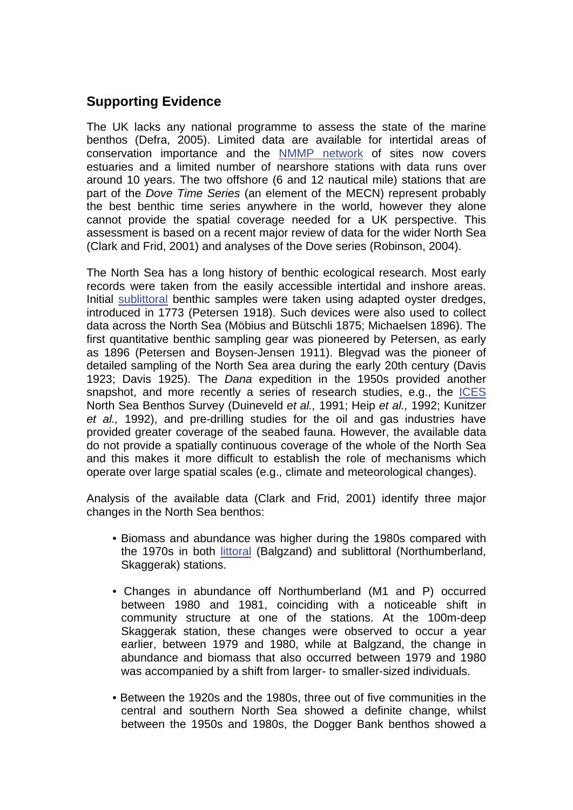## **Supporting Evidence**

The UK lacks any national programme to assess the state of the marine benthos (Defra, 2005). Limited data are available for intertidal areas of conservation importance and the [NMMP network](http://www.mccip.org.uk/arc/glossary.htm) of sites now covers estuaries and a limited number of nearshore stations with data runs over around 10 years. The two offshore (6 and 12 nautical mile) stations that are part of the *Dove Time Series* (an element of the MECN) represent probably the best benthic time series anywhere in the world, however they alone cannot provide the spatial coverage needed for a UK perspective. This assessment is based on a recent major review of data for the wider North Sea (Clark and Frid, 2001) and analyses of the Dove series (Robinson, 2004).

The North Sea has a long history of benthic ecological research. Most early records were taken from the easily accessible intertidal and inshore areas. Initial [sublittoral](http://www.mccip.org.uk/arc/glossary.htm) benthic samples were taken using adapted oyster dredges, introduced in 1773 (Petersen 1918). Such devices were also used to collect data across the North Sea (Möbius and Bütschli 1875; Michaelsen 1896). The first quantitative benthic sampling gear was pioneered by Petersen, as early as 1896 (Petersen and Boysen-Jensen 1911). Blegvad was the pioneer of detailed sampling of the North Sea area during the early 20th century (Davis 1923; Davis 1925). The *Dana* expedition in the 1950s provided another snapshot, and more recently a series of research studies, e.g., the [ICES](http://www.mccip.org.uk/arc/glossary.htm)  North Sea Benthos Survey (Duineveld *et al.,* 1991; Heip *et al.,* 1992; Kunitzer *et al.,* 1992), and pre-drilling studies for the oil and gas industries have provided greater coverage of the seabed fauna. However, the available data do not provide a spatially continuous coverage of the whole of the North Sea and this makes it more difficult to establish the role of mechanisms which operate over large spatial scales (e.g., climate and meteorological changes).

Analysis of the available data (Clark and Frid, 2001) identify three major changes in the North Sea benthos:

- Biomass and abundance was higher during the 1980s compared with the 1970s in both [littoral](http://www.mccip.org.uk/arc/glossary.htm) (Balgzand) and sublittoral (Northumberland, Skaggerak) stations.
- Changes in abundance off Northumberland (M1 and P) occurred between 1980 and 1981, coinciding with a noticeable shift in community structure at one of the stations. At the 100m-deep Skaggerak station, these changes were observed to occur a year earlier, between 1979 and 1980, while at Balgzand, the change in abundance and biomass that also occurred between 1979 and 1980 was accompanied by a shift from larger- to smaller-sized individuals.
- Between the 1920s and the 1980s, three out of five communities in the central and southern North Sea showed a definite change, whilst between the 1950s and 1980s, the Dogger Bank benthos showed a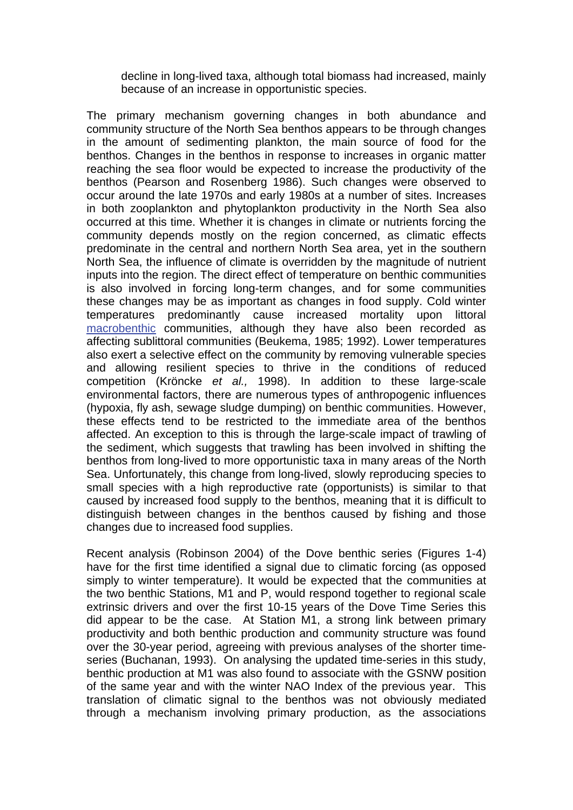decline in long-lived taxa, although total biomass had increased, mainly because of an increase in opportunistic species.

The primary mechanism governing changes in both abundance and community structure of the North Sea benthos appears to be through changes in the amount of sedimenting plankton, the main source of food for the benthos. Changes in the benthos in response to increases in organic matter reaching the sea floor would be expected to increase the productivity of the benthos (Pearson and Rosenberg 1986). Such changes were observed to occur around the late 1970s and early 1980s at a number of sites. Increases in both zooplankton and phytoplankton productivity in the North Sea also occurred at this time. Whether it is changes in climate or nutrients forcing the community depends mostly on the region concerned, as climatic effects predominate in the central and northern North Sea area, yet in the southern North Sea, the influence of climate is overridden by the magnitude of nutrient inputs into the region. The direct effect of temperature on benthic communities is also involved in forcing long-term changes, and for some communities these changes may be as important as changes in food supply. Cold winter temperatures predominantly cause increased mortality upon littoral [macrobenthic](http://www.mccip.org.uk/arc/glossary.htm) communities, although they have also been recorded as affecting sublittoral communities (Beukema, 1985; 1992). Lower temperatures also exert a selective effect on the community by removing vulnerable species and allowing resilient species to thrive in the conditions of reduced competition (Kröncke *et al.,* 1998). In addition to these large-scale environmental factors, there are numerous types of anthropogenic influences (hypoxia, fly ash, sewage sludge dumping) on benthic communities. However, these effects tend to be restricted to the immediate area of the benthos affected. An exception to this is through the large-scale impact of trawling of the sediment, which suggests that trawling has been involved in shifting the benthos from long-lived to more opportunistic taxa in many areas of the North Sea. Unfortunately, this change from long-lived, slowly reproducing species to small species with a high reproductive rate (opportunists) is similar to that caused by increased food supply to the benthos, meaning that it is difficult to distinguish between changes in the benthos caused by fishing and those changes due to increased food supplies.

Recent analysis (Robinson 2004) of the Dove benthic series (Figures 1-4) have for the first time identified a signal due to climatic forcing (as opposed simply to winter temperature). It would be expected that the communities at the two benthic Stations, M1 and P, would respond together to regional scale extrinsic drivers and over the first 10-15 years of the Dove Time Series this did appear to be the case. At Station M1, a strong link between primary productivity and both benthic production and community structure was found over the 30-year period, agreeing with previous analyses of the shorter timeseries (Buchanan, 1993). On analysing the updated time-series in this study, benthic production at M1 was also found to associate with the GSNW position of the same year and with the winter NAO Index of the previous year. This translation of climatic signal to the benthos was not obviously mediated through a mechanism involving primary production, as the associations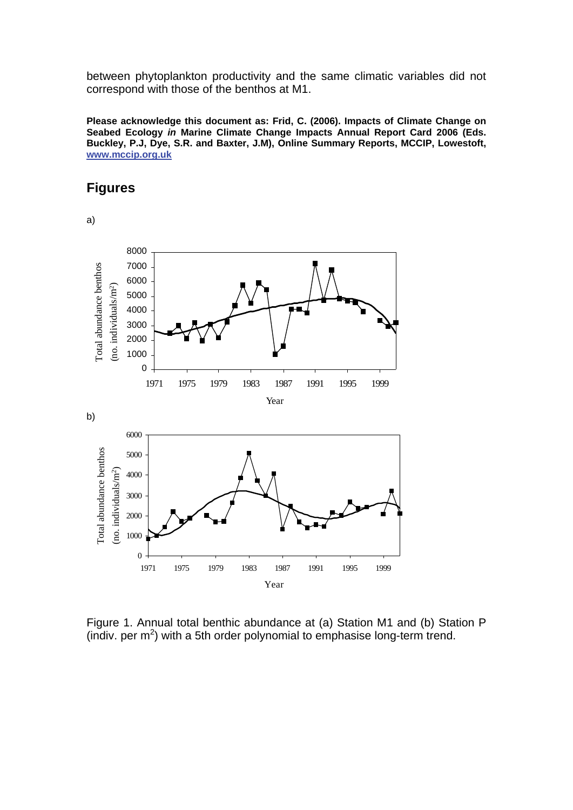between phytoplankton productivity and the same climatic variables did not correspond with those of the benthos at M1.

**Please acknowledge this document as: Frid, C. (2006). Impacts of Climate Change on Seabed Ecology** *in* **Marine Climate Change Impacts Annual Report Card 2006 (Eds. Buckley, P.J, Dye, S.R. and Baxter, J.M), Online Summary Reports, MCCIP, Lowestoft, [www.mccip.org.uk](http://www.mccip.org.uk/)**

# **Figures**

a)

0 1000 2000 3000 4000 5000 6000 7000 8000 1971 1975 1979 1983 1987 1991 1995 1999 Year Total ab u n dance benth os  $\epsilon$ o. in divid  $\mu$ als/m<sup>2</sup>) b) 0 1000 2000 3000 4000 5000 6000 1971 1975 1979 1983 1987 1991 1995 1999 Year Total ab u n dance benthos (no. in divid  $uals/m<sup>2</sup>$ 

Figure 1. Annual total benthic abundance at (a) Station M1 and (b) Station P (indiv. per  $m^2$ ) with a 5th order polynomial to emphasise long-term trend.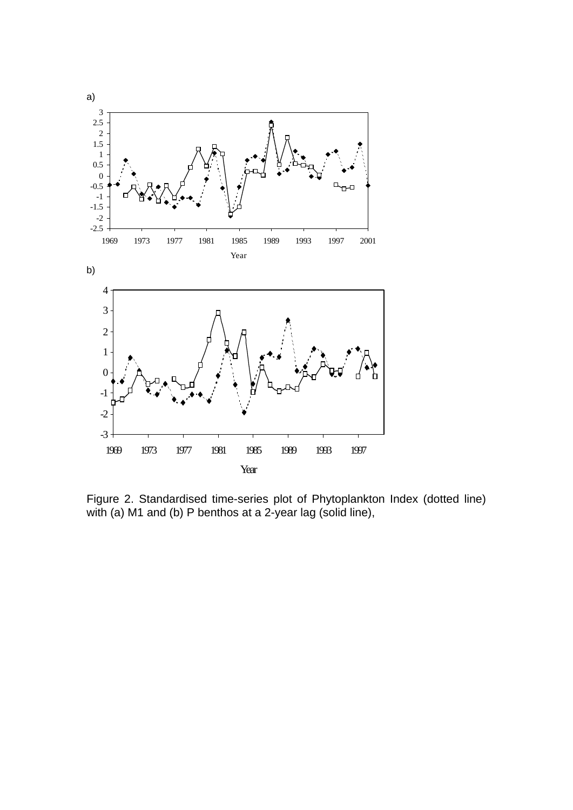

Figure 2. Standardised time-series plot of Phytoplankton Index (dotted line) with (a) M1 and (b) P benthos at a 2-year lag (solid line),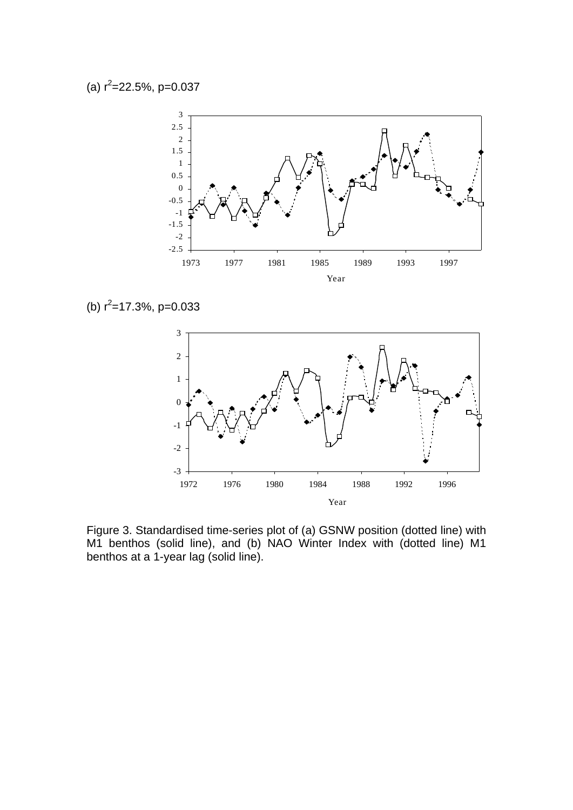

(b)  $r^2$ =17.3%, p=0.033



Figure 3. Standardised time-series plot of (a) GSNW position (dotted line) with M1 benthos (solid line), and (b) NAO Winter Index with (dotted line) M1 benthos at a 1-year lag (solid line).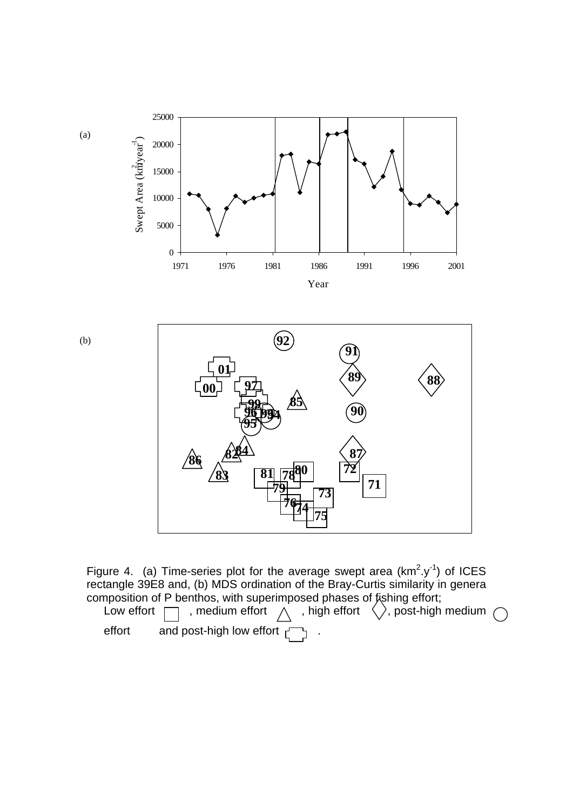

Figure 4. (a) Time-series plot for the average swept area  $(km^2.y^{-1})$  of ICES rectangle 39E8 and, (b) MDS ordination of the Bray-Curtis similarity in genera composition of P benthos, with superimposed phases of fishing effort;

Low effort  $\Box$ , medium effort  $\land$ , high effort  $\langle \rangle$ , post-high medium effort and post-high low effort  $\begin{bmatrix} 1 \end{bmatrix}$ .

**<sup>75</sup>**

(a)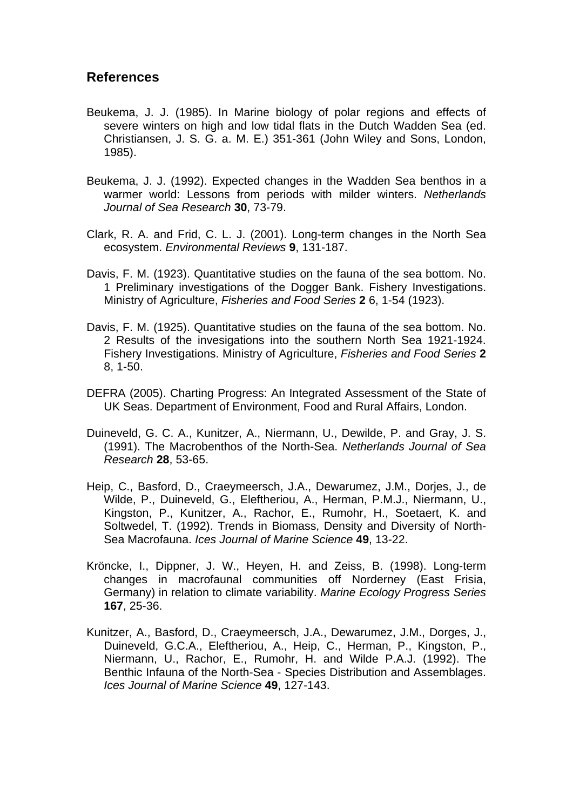#### **References**

- Beukema, J. J. (1985). In Marine biology of polar regions and effects of severe winters on high and low tidal flats in the Dutch Wadden Sea (ed. Christiansen, J. S. G. a. M. E.) 351-361 (John Wiley and Sons, London, 1985).
- Beukema, J. J. (1992). Expected changes in the Wadden Sea benthos in a warmer world: Lessons from periods with milder winters. *Netherlands Journal of Sea Research* **30**, 73-79.
- Clark, R. A. and Frid, C. L. J. (2001). Long-term changes in the North Sea ecosystem. *Environmental Reviews* **9**, 131-187.
- Davis, F. M. (1923). Quantitative studies on the fauna of the sea bottom. No. 1 Preliminary investigations of the Dogger Bank. Fishery Investigations. Ministry of Agriculture, *Fisheries and Food Series* **2** 6, 1-54 (1923).
- Davis, F. M. (1925). Quantitative studies on the fauna of the sea bottom. No. 2 Results of the invesigations into the southern North Sea 1921-1924. Fishery Investigations. Ministry of Agriculture, *Fisheries and Food Series* **2** 8, 1-50.
- DEFRA (2005). Charting Progress: An Integrated Assessment of the State of UK Seas. Department of Environment, Food and Rural Affairs, London.
- Duineveld, G. C. A., Kunitzer, A., Niermann, U., Dewilde, P. and Gray, J. S. (1991). The Macrobenthos of the North-Sea. *Netherlands Journal of Sea Research* **28**, 53-65.
- Heip, C., Basford, D., Craeymeersch, J.A., Dewarumez, J.M., Dorjes, J., de Wilde, P., Duineveld, G., Eleftheriou, A., Herman, P.M.J., Niermann, U., Kingston, P., Kunitzer, A., Rachor, E., Rumohr, H., Soetaert, K. and Soltwedel, T. (1992). Trends in Biomass, Density and Diversity of North-Sea Macrofauna. *Ices Journal of Marine Science* **49**, 13-22.
- Kröncke, I., Dippner, J. W., Heyen, H. and Zeiss, B. (1998). Long-term changes in macrofaunal communities off Norderney (East Frisia, Germany) in relation to climate variability. *Marine Ecology Progress Series* **167**, 25-36.
- Kunitzer, A., Basford, D., Craeymeersch, J.A., Dewarumez, J.M., Dorges, J., Duineveld, G.C.A., Eleftheriou, A., Heip, C., Herman, P., Kingston, P., Niermann, U., Rachor, E., Rumohr, H. and Wilde P.A.J. (1992). The Benthic Infauna of the North-Sea - Species Distribution and Assemblages. *Ices Journal of Marine Science* **49**, 127-143.